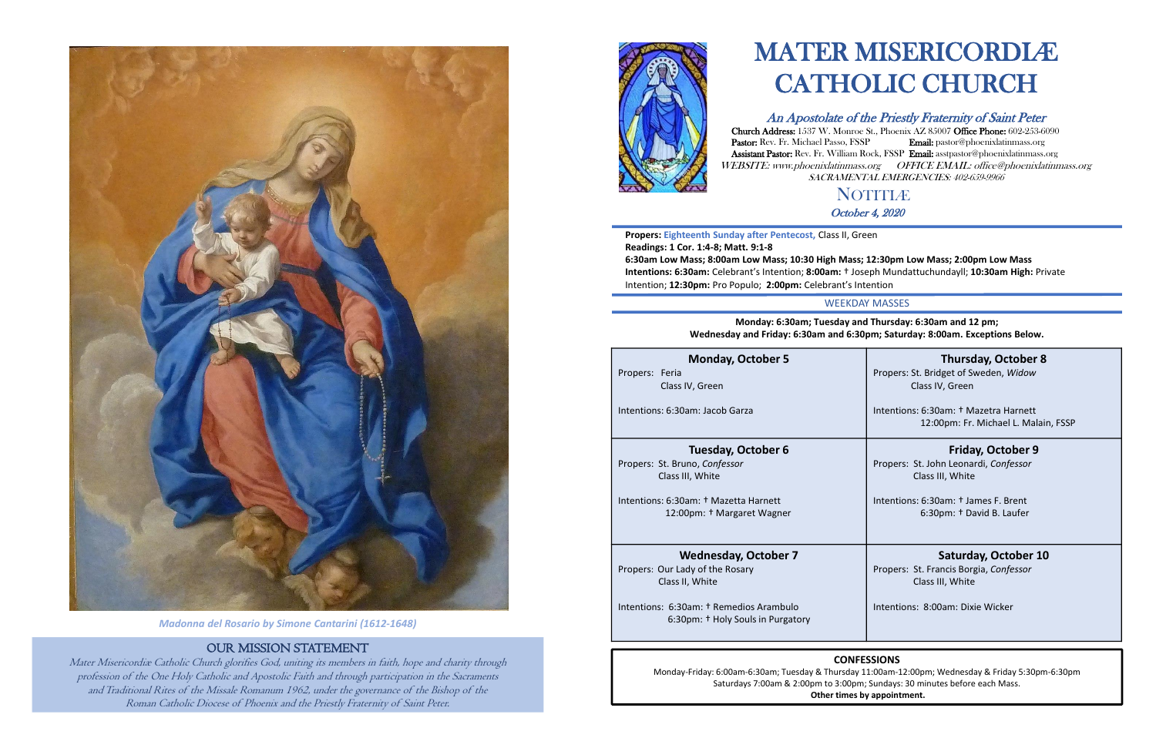

*Madonna del Rosario by Simone Cantarini (1612-1648)*

# OUR MISSION STATEMENT

Mater Misericordiæ Catholic Church glorifies God, uniting its members in faith, hope and charity through profession of the One Holy Catholic and Apostolic Faith and through participation in the Sacraments and Traditional Rites of the Missale Romanum 1962, under the governance of the Bishop of the Roman Catholic Diocese of Phoenix and the Priestly Fraternity of Saint Peter.



# **NOTITIÆ** October 4, 2020

# MATER MISERICORDIÆ CATHOLIC CHURCH

# An Apostolate of the Priestly Fraternity of Saint Peter

Church Address: 1537 W. Monroe St., Phoenix AZ 85007 Office Phone: 602-253-6090 Pastor: Rev. Fr. Michael Passo, FSSP Email: pastor@phoenixlatinmass.org Assistant Pastor: Rev. Fr. William Rock, FSSP Email: asstpastor@phoenixlatinmass.org WEBSITE: www.phoenixlatinmass.org OFFICE EMAIL: office@phoenixlatinmass.org SACRAMENTAL EMERGENCIES: 402-659-9966

**Propers: Eighteenth Sunday after Pentecost,** Class II, Green **Readings: 1 Cor. 1:4-8; Matt. 9:1-8**

**6:30am Low Mass; 8:00am Low Mass; 10:30 High Mass; 12:30pm Low Mass; 2:00pm Low Mass Intentions: 6:30am:** Celebrant's Intention; **8:00am:** † Joseph Mundattuchundayll; **10:30am High:** Private Intention; **12:30pm:** Pro Populo; **2:00pm:** Celebrant's Intention

# **CONFESSIONS**

Monday-Friday: 6:00am-6:30am; Tuesday & Thursday 11:00am-12:00pm; Wednesday & Friday 5:30pm-6:30pm Saturdays 7:00am & 2:00pm to 3:00pm; Sundays: 30 minutes before each Mass. **Other times by appointment.**

WEEKDAY MASSES

# **Monday: 6:30am; Tuesday and Thursday: 6:30am and 12 pm; Wednesday and Friday: 6:30am and 6:30pm; Saturday: 8:00am. Exceptions Below.**

### **Monday, October 5**

Propers: Feria Class IV, Green

Intentions: 6:30am: Jacob Garza

# **Thursday, October 8**

Propers: St. Bridget of Sweden, *Widow* Class IV, Green

Intentions: 6:30am: † Mazetra Harnett 12:00pm: Fr. Michael L. Malain, FSSP

### **Tuesday, October 6**

Propers: St. Bruno, *Confessor*  Class III, White

Intentions: 6:30am: † Mazetta Harnett 12:00pm: † Margaret Wagner

# **Friday, October 9**

Propers: St. John Leonardi, *Confessor* Class III, White

Intentions: 6:30am: † James F. Brent 6:30pm: † David B. Laufer

# **Wednesday, October 7**

Propers: Our Lady of the Rosary Class II, White

Intentions: 6:30am: † Remedios Arambulo 6:30pm: † Holy Souls in Purgatory

# **Saturday, October 10**

Propers: St. Francis Borgia, *Confessor* Class III, White

Intentions: 8:00am: Dixie Wicker